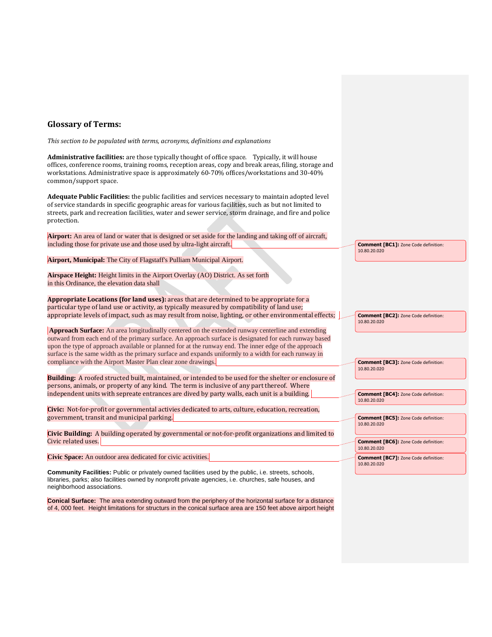## **Glossary of Terms:**

*This section to be populated with terms, acronyms, definitions and explanations*

**Administrative facilities:** are those typically thought of office space. Typically, it will house offices, conference rooms, training rooms, reception areas, copy and break areas, filing, storage and workstations. Administrative space is approximately 60-70% offices/workstations and 30-40% common/support space.

**Adequate Public Facilities:** the public facilities and services necessary to maintain adopted level of service standards in specific geographic areas for various facilities, such as but not limited to streets, park and recreation facilities, water and sewer service, storm drainage, and fire and police protection.

**Airport:** An area of land or water that is designed or set aside for the landing and taking off of aircraft, including those for private use and those used by ultra-light aircraft.

**Airport, Municipal:** The City of Flagstaff's Pulliam Municipal Airport.

**Airspace Height:** Height limits in the Airport Overlay (AO) District. As set forth in this Ordinance, the elevation data shall

**Appropriate Locations (for land uses):** areas that are determined to be appropriate for a particular type of land use or activity, as typically measured by compatibility of land use; appropriate levels of impact, such as may result from noise, lighting, or other environmental effects;

**Approach Surface:** An area longitudinally centered on the extended runway centerline and extending outward from each end of the primary surface. An approach surface is designated for each runway based upon the type of approach available or planned for at the runway end. The inner edge of the approach surface is the same width as the primary surface and expands uniformly to a width for each runway in compliance with the Airport Master Plan clear zone drawings.

**Building:** A roofed structed built, maintained, or intended to be used for the shelter or enclosure of persons, animals, or property of any kind. The term is inclusive of any part thereof. Where independent units with sepreate entrances are dived by party walls, each unit is a building.

**Civic:** Not-for-profit or governmental activies dedicated to arts, culture, education, recreation, government, transit and municipal parking.

**Civic Building:** A building operated by governmental or not-for-profit organizations and limited to Civic related uses.

**Civic Space:** An outdoor area dedicated for civic activities.

**Community Facilities:** Public or privately owned facilities used by the public, i.e. streets, schools, libraries, parks; also facilities owned by nonprofit private agencies, i.e. churches, safe houses, and neighborhood associations.

**Conical Surface:** The area extending outward from the periphery of the horizontal surface for a distance of 4, 000 feet. Height limitations for structurs in the conical surface area are 150 feet above airport height **Comment [BC1]:** Zone Code definition: 10.80.20.020

**Comment [BC2]:** Zone Code definition: 10.80.20.020

**Comment [BC3]:** Zone Code definition: 10.80.20.020

**Comment [BC4]:** Zone Code definition: 10.80.20.020

**Comment [BC5]:** Zone Code definition: 10.80.20.020

**Comment [BC6]:** Zone Code definition: 10.80.20.020

**Comment [BC7]:** Zone Code definition: 10.80.20.020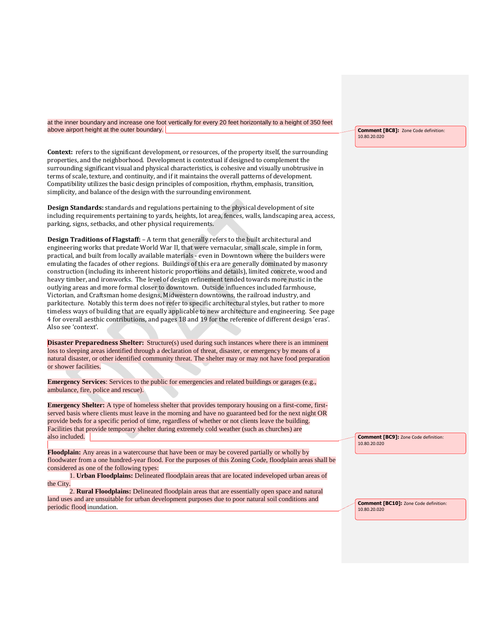at the inner boundary and increase one foot vertically for every 20 feet horizontally to a height of 350 feet above airport height at the outer boundary.

**Context:** refers to the significant development, or resources, of the property itself, the surrounding properties, and the neighborhood. Development is contextual if designed to complement the surrounding significant visual and physical characteristics, is cohesive and visually unobtrusive in terms of scale, texture, and continuity, and if it maintains the overall patterns of development. Compatibility utilizes the basic design principles of composition, rhythm, emphasis, transition, simplicity, and balance of the design with the surrounding environment.

**Design Standards:** standards and regulations pertaining to the physical development of site including requirements pertaining to yards, heights, lot area, fences, walls, landscaping area, access, parking, signs, setbacks, and other physical requirements.

**Design Traditions of Flagstaff:** – A term that generally refers to the built architectural and engineering works that predate World War II, that were vernacular, small scale, simple in form, practical, and built from locally available materials - even in Downtown where the builders were emulating the facades of other regions. Buildings of this era are generally dominated by masonry construction (including its inherent historic proportions and details), limited concrete, wood and heavy timber, and ironworks. The level of design refinement tended towards more rustic in the outlying areas and more formal closer to downtown. Outside influences included farmhouse, Victorian, and Craftsman home designs, Midwestern downtowns, the railroad industry, and parkitecture. Notably this term does not refer to specific architectural styles, but rather to more timeless ways of building that are equally applicable to new architecture and engineering. See page 4 for overall aesthic contributions, and pages 18 and 19 for the reference of different design 'eras'. Also see 'context'.

**Disaster Preparedness Shelter:** Structure(s) used during such instances where there is an imminent loss to sleeping areas identified through a declaration of threat, disaster, or emergency by means of a natural disaster, or other identified community threat. The shelter may or may not have food preparation or shower facilities.

**Emergency Services**: Services to the public for emergencies and related buildings or garages (e.g., ambulance, fire, police and rescue).

**Emergency Shelter:** A type of homeless shelter that provides temporary housing on a first-come, firstserved basis where clients must leave in the morning and have no guaranteed bed for the next night OR provide beds for a specific period of time, regardless of whether or not clients leave the building. Facilities that provide temporary shelter during extremely cold weather (such as churches) are also included.

**Floodplain:** Any areas in a watercourse that have been or may be covered partially or wholly by floodwater from a one hundred-year flood. For the purposes of this Zoning Code, floodplain areas shall be considered as one of the following types:

1. **Urban Floodplains:** Delineated floodplain areas that are located indeveloped urban areas of the City.

2. **Rural Floodplains:** Delineated floodplain areas that are essentially open space and natural land uses and are unsuitable for urban development purposes due to poor natural soil conditions and periodic flood inundation.

**Comment [BC8]:** Zone Code definition: 10.80.20.020

**Comment [BC9]:** Zone Code definition: 10.80.20.020

**Comment [BC10]:** Zone Code definition: 10.80.20.020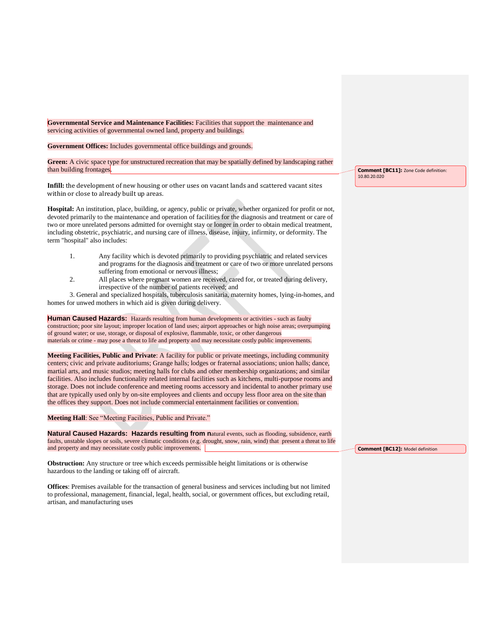**Governmental Service and Maintenance Facilities:** Facilities that support the maintenance and servicing activities of governmental owned land, property and buildings.

**Government Offices:** Includes governmental office buildings and grounds.

**Green:** A civic space type for unstructured recreation that may be spatially defined by landscaping rather than building frontages.

**Infill:** the development of new housing or other uses on vacant lands and scattered vacant sites within or close to already built up areas.

**Hospital:** An institution, place, building, or agency, public or private, whether organized for profit or not, devoted primarily to the maintenance and operation of facilities for the diagnosis and treatment or care of two or more unrelated persons admitted for overnight stay or longer in order to obtain medical treatment, including obstetric, psychiatric, and nursing care of illness, disease, injury, infirmity, or deformity. The term "hospital" also includes:

- 1. Any facility which is devoted primarily to providing psychiatric and related services and programs for the diagnosis and treatment or care of two or more unrelated persons suffering from emotional or nervous illness;
- 2. All places where pregnant women are received, cared for, or treated during delivery, irrespective of the number of patients received; and

3. General and specialized hospitals, tuberculosis sanitaria, maternity homes, lying-in-homes, and homes for unwed mothers in which aid is given during delivery.

**Human Caused Hazards:** Hazards resulting from human developments or activities - such as faulty construction; poor site layout; improper location of land uses; airport approaches or high noise areas; overpumping of ground water; or use, storage, or disposal of explosive, flammable, toxic, or other dangerous materials or crime - may pose a threat to life and property and may necessitate costly public improvements.

**Meeting Facilities, Public and Private**: A facility for public or private meetings, including community centers; civic and private auditoriums; Grange halls; lodges or fraternal associations; union halls; dance, martial arts, and music studios; meeting halls for clubs and other membership organizations; and similar facilities. Also includes functionality related internal facilities such as kitchens, multi-purpose rooms and storage. Does not include conference and meeting rooms accessory and incidental to another primary use that are typically used only by on-site employees and clients and occupy less floor area on the site than the offices they support. Does not include commercial entertainment facilities or convention.

**Meeting Hall**: See "Meeting Facilities, Public and Private."

**Natural Caused Hazards: Hazards resulting from n**atural events, such as flooding, subsidence, earth faults, unstable slopes or soils, severe climatic conditions (e.g. drought, snow, rain, wind) that present a threat to life and property and may necessitate costly public improvements.

**Obstruction:** Any structure or tree which exceeds permissible height limitations or is otherwise hazardous to the landing or taking off of aircraft.

**Offices**: Premises available for the transaction of general business and services including but not limited to professional, management, financial, legal, health, social, or government offices, but excluding retail, artisan, and manufacturing uses

**Comment [BC11]:** Zone Code definition: 10.80.20.020

**Comment [BC12]:** Model definition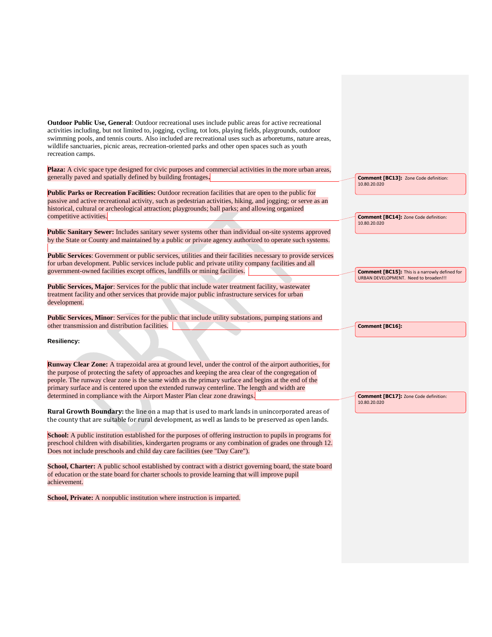**Outdoor Public Use, General**: Outdoor recreational uses include public areas for active recreational activities including, but not limited to, jogging, cycling, tot lots, playing fields, playgrounds, outdoor swimming pools, and tennis courts. Also included are recreational uses such as arboretums, nature areas, wildlife sanctuaries, picnic areas, recreation-oriented parks and other open spaces such as youth recreation camps.

**Plaza:** A civic space type designed for civic purposes and commercial activities in the more urban areas, generally paved and spatially defined by building frontages**.**

**Public Parks or Recreation Facilities:** Outdoor recreation facilities that are open to the public for passive and active recreational activity, such as pedestrian activities, hiking, and jogging; or serve as an historical, cultural or archeological attraction; playgrounds; ball parks; and allowing organized competitive activities.

**Public Sanitary Sewer:** Includes sanitary sewer systems other than individual on-site systems approved by the State or County and maintained by a public or private agency authorized to operate such systems.

**Public Services**: Government or public services, utilities and their facilities necessary to provide services for urban development. Public services include public and private utility company facilities and all government-owned facilities except offices, landfills or mining facilities.

**Public Services, Major**: Services for the public that include water treatment facility, wastewater treatment facility and other services that provide major public infrastructure services for urban development.

**Public Services, Minor**: Services for the public that include utility substations, pumping stations and other transmission and distribution facilities.

**Resiliency:**

**Runway Clear Zone:** A trapezoidal area at ground level, under the control of the airport authorities, for the purpose of protecting the safety of approaches and keeping the area clear of the congregation of people. The runway clear zone is the same width as the primary surface and begins at the end of the primary surface and is centered upon the extended runway centerline. The length and width are determined in compliance with the Airport Master Plan clear zone drawings.

**Rural Growth Boundary:** the line on a map that is used to mark lands in unincorporated areas of the county that are suitable for rural development, as well as lands to be preserved as open lands.

**School:** A public institution established for the purposes of offering instruction to pupils in programs for preschool children with disabilities, kindergarten programs or any combination of grades one through 12. Does not include preschools and child day care facilities (see "Day Care").

**School, Charter:** A public school established by contract with a district governing board, the state board of education or the state board for charter schools to provide learning that will improve pupil achievement.

**School, Private:** A nonpublic institution where instruction is imparted.

**Comment [BC13]:** Zone Code definition: 10.80.20.020

**Comment [BC14]:** Zone Code definition: 10.80.20.020

**Comment [BC15]:** This is a narrowly defined for URBAN DEVELOPMENT. Need to broaden!!!

**Comment [BC16]:** 

**Comment [BC17]:** Zone Code definition: 10.80.20.020